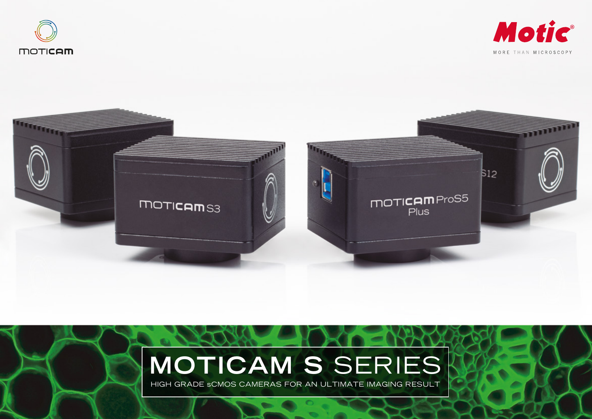





# **MOTICAM S** SERIES

HIGH GRADE sCMOS CAMERAS FOR AN ULTIMATE IMAGING RESULT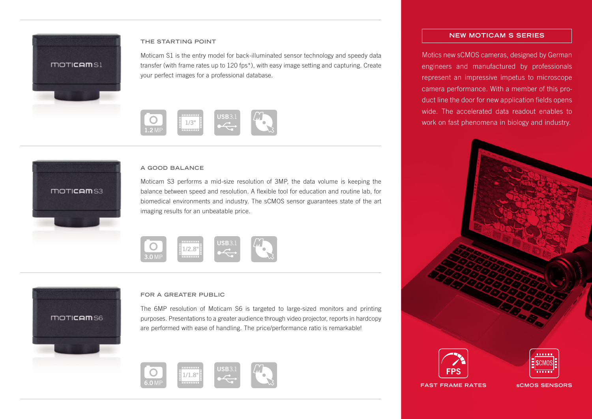

moticem<sub>S3</sub>

## **THE STARTING POINT**

Moticam S1 is the entry model for back-illuminated sensor technology and speedy data transfer (with frame rates up to 120 fps\*), with easy image setting and capturing. Create your perfect images for a professional database.



## **A GOOD BALANCE**

Moticam S3 performs a mid-size resolution of 3MP, the data volume is keeping the balance between speed and resolution. A flexible tool for education and routine lab, for biomedical environments and industry. The sCMOS sensor guarantees state of the art imaging results for an unbeatable price.





#### **FOR A GREATER PUBLIC**

The 6MP resolution of Moticam S6 is targeted to large-sized monitors and printing purposes. Presentations to a greater audience through video projector, reports in hardcopy are performed with ease of handling. The price/performance ratio is remarkable!



## **NEW MOTICAM S SERIES**

Motics new sCMOS cameras, designed by German engineers and manufactured by professionals represent an impressive impetus to microscope camera performance. With a member of this product line the door for new application fields opens wide. The accelerated data readout enables to work on fast phenomena in biology and industry.





**FAST FRAME RATES**

**sCMOS SENSORS**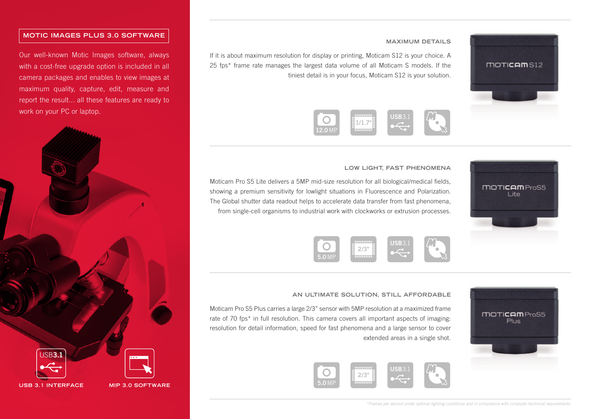# **MOTIC IMAGES PLUS 3.0 SOFTWARE**

Our well-known Motic Images software, always with a cost-free upgrade option is included in all camera packages and enables to view images at maximum quality, capture, edit, measure and report the result... all these features are ready to work on your PC or laptop.



## **MAXIMUM DETAILS**

If it is about maximum resolution for display or printing, Moticam S12 is your choice. A 25 fps\* frame rate manages the largest data volume of all Moticam S models. If the tiniest detail is in your focus, Moticam S12 is your solution.



#### **LOW LIGHT, FAST PHENOMENA**

Moticam Pro S5 Lite delivers a 5MP mid-size resolution for all biological/medical fields, showing a premium sensitivity for lowlight situations in Fluorescence and Polarization. The Global shutter data readout helps to accelerate data transfer from fast phenomena, from single-cell organisms to industrial work with clockworks or extrusion processes.





## **AN ULTIMATE SOLUTION, STILL AFFORDABLE**

Moticam Pro S5 Plus carries a large 2/3" sensor with 5MP resolution at a maximized frame rate of 70 fps<sup>\*</sup> in full resolution. This camera covers all important aspects of imaging: resolution for detail information, speed for fast phenomena and a large sensor to cover extended areas in a single shot.





 $T\rightarrow T\rightarrow T\rightarrow T\rightarrow T$